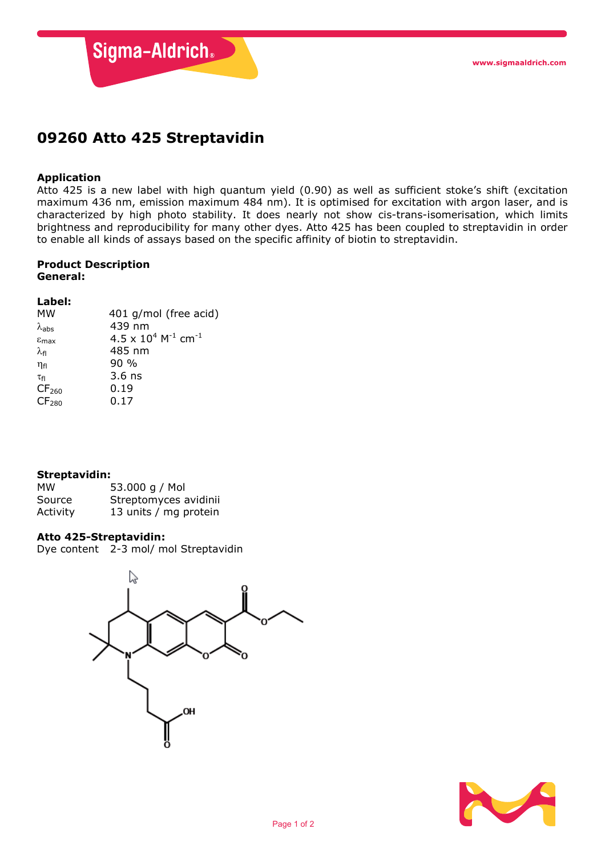

## **09260 Atto 425 Streptavidin**

#### **Application**

Atto 425 is a new label with high quantum yield (0.90) as well as sufficient stoke's shift (excitation maximum 436 nm, emission maximum 484 nm). It is optimised for excitation with argon laser, and is characterized by high photo stability. It does nearly not show cis-trans-isomerisation, which limits brightness and reproducibility for many other dyes. Atto 425 has been coupled to streptavidin in order to enable all kinds of assays based on the specific affinity of biotin to streptavidin.

# **Product Description**

### **General:**

### **Label:**

| <b>MW</b>                  | 401 g/mol (free acid)                                |
|----------------------------|------------------------------------------------------|
| $\lambda_{\text{abs}}$     | 439 nm                                               |
| $\varepsilon_{\text{max}}$ | $4.5 \times 10^{4}$ M <sup>-1</sup> cm <sup>-1</sup> |
| $\lambda_{\sf fl}$         | 485 nm                                               |
| $\eta_{fl}$                | $90\%$                                               |
| $\tau_{\textsf{fl}}$       | $3.6$ ns                                             |
| CF <sub>260</sub>          | 0.19                                                 |
| CF <sub>280</sub>          | 0.17                                                 |
|                            |                                                      |

#### **Streptavidin:**

| мw       | 53.000 g / Mol        |
|----------|-----------------------|
| Source   | Streptomyces avidinii |
| Activity | 13 units / mg protein |

#### **Atto 425-Streptavidin:**

Dye content 2-3 mol/ mol Streptavidin